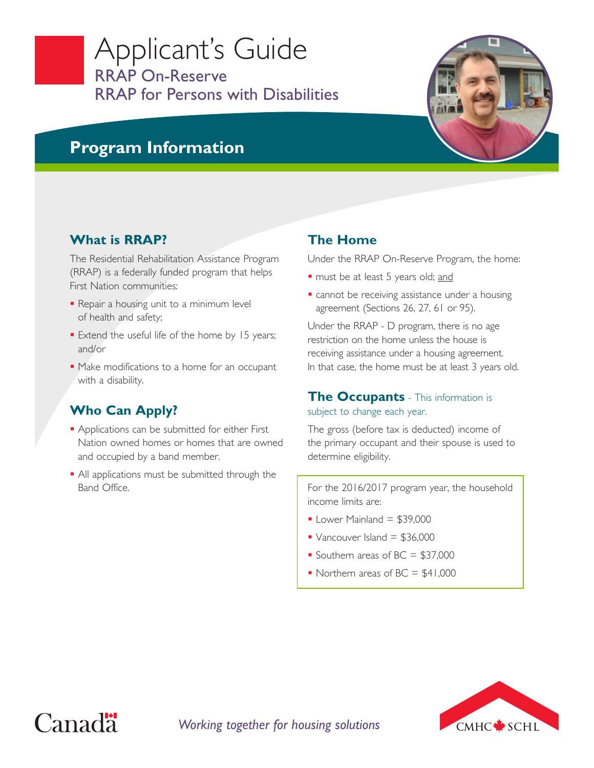## Applicant's Guide RRAP On-Reserve RRAP for Persons with Disabilities



## **Program Information**

## **What is RRAP?**

The Residential Rehabilitation Assistance Program (RRAP) is a federally funded program that helps First Nation communities:

- Repair a housing unit to a minimum level of health and safety;
- **Extend the useful life of the home by 15 years;** and/or
- $\blacksquare$  Make modifications to a home for an occupant with a disability.

## **Who Can Apply?**

- **Applications can be submitted for either First** Nation owned homes or homes that are owned and occupied by a band member.
- All applications must be submitted through the Band Office.

### **The Home**

Under the RRAP On-Reserve Program, the home:

- must be at least 5 years old; and
- **Cannot be receiving assistance under a housing** agreement (Sections 26, 27, 61 or 95).

Under the RRAP - D program, there is no age restriction on the home unless the house is receiving assistance under a housing agreement. In that case, the home must be at least 3 years old.

#### **The Occupants** - This information is subject to change each year.

The gross (before tax is deducted) income of the primary occupant and their spouse is used to determine eligibility.

For the 2016/2017 program year, the household income limits are:

- $\blacksquare$  Lower Mainland = \$39,000
- Vancouver Island  $= $36,000$
- Southern areas of  $BC = $37,000$
- Northern areas of  $BC = $41,000$



# Canad<sup>"</sup>

*Working together for housing solutions*